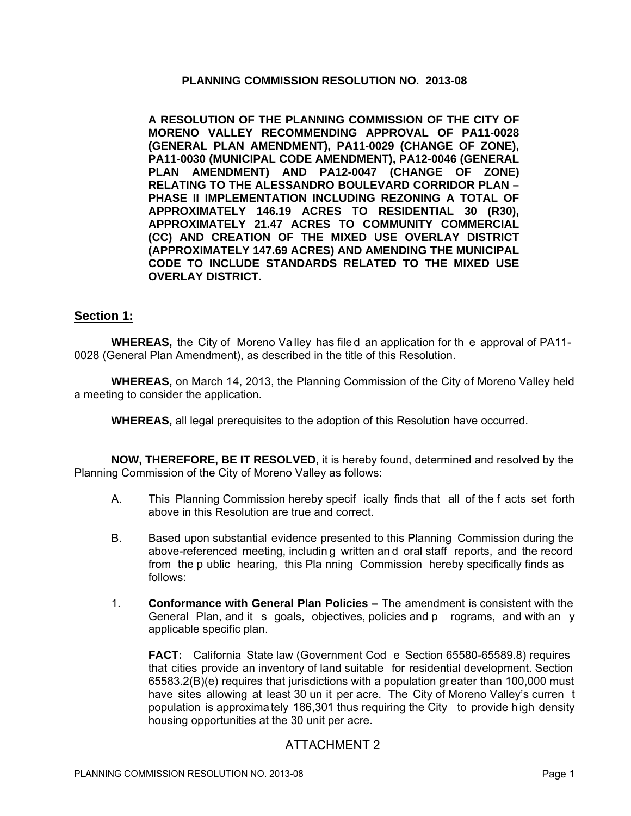#### **PLANNING COMMISSION RESOLUTION NO. 2013-08**

**A RESOLUTION OF THE PLANNING COMMISSION OF THE CITY OF MORENO VALLEY RECOMMENDING APPROVAL OF PA11-0028 (GENERAL PLAN AMENDMENT), PA11-0029 (CHANGE OF ZONE), PA11-0030 (MUNICIPAL CODE AMENDMENT), PA12-0046 (GENERAL PLAN AMENDMENT) AND PA12-0047 (CHANGE OF ZONE) RELATING TO THE ALESSANDRO BOULEVARD CORRIDOR PLAN – PHASE II IMPLEMENTATION INCLUDING REZONING A TOTAL OF APPROXIMATELY 146.19 ACRES TO RESIDENTIAL 30 (R30), APPROXIMATELY 21.47 ACRES TO COMMUNITY COMMERCIAL (CC) AND CREATION OF THE MIXED USE OVERLAY DISTRICT (APPROXIMATELY 147.69 ACRES) AND AMENDING THE MUNICIPAL CODE TO INCLUDE STANDARDS RELATED TO THE MIXED USE OVERLAY DISTRICT.** 

## **Section 1:**

**WHEREAS,** the City of Moreno Va lley has file d an application for th e approval of PA11- 0028 (General Plan Amendment), as described in the title of this Resolution.

**WHEREAS,** on March 14, 2013, the Planning Commission of the City of Moreno Valley held a meeting to consider the application.

**WHEREAS,** all legal prerequisites to the adoption of this Resolution have occurred.

**NOW, THEREFORE, BE IT RESOLVED**, it is hereby found, determined and resolved by the Planning Commission of the City of Moreno Valley as follows:

- A. This Planning Commission hereby specif ically finds that all of the f acts set forth above in this Resolution are true and correct.
- B. Based upon substantial evidence presented to this Planning Commission during the above-referenced meeting, includin g written an d oral staff reports, and the record from the p ublic hearing, this Pla nning Commission hereby specifically finds as follows:
- 1. **Conformance with General Plan Policies** The amendment is consistent with the General Plan, and it s goals, objectives, policies and p rograms, and with an y applicable specific plan.

**FACT:** California State law (Government Cod e Section 65580-65589.8) requires that cities provide an inventory of land suitable for residential development. Section 65583.2(B)(e) requires that jurisdictions with a population greater than 100,000 must have sites allowing at least 30 un it per acre. The City of Moreno Valley's curren t population is approximately 186,301 thus requiring the City to provide high density housing opportunities at the 30 unit per acre.

## ATTACHMENT 2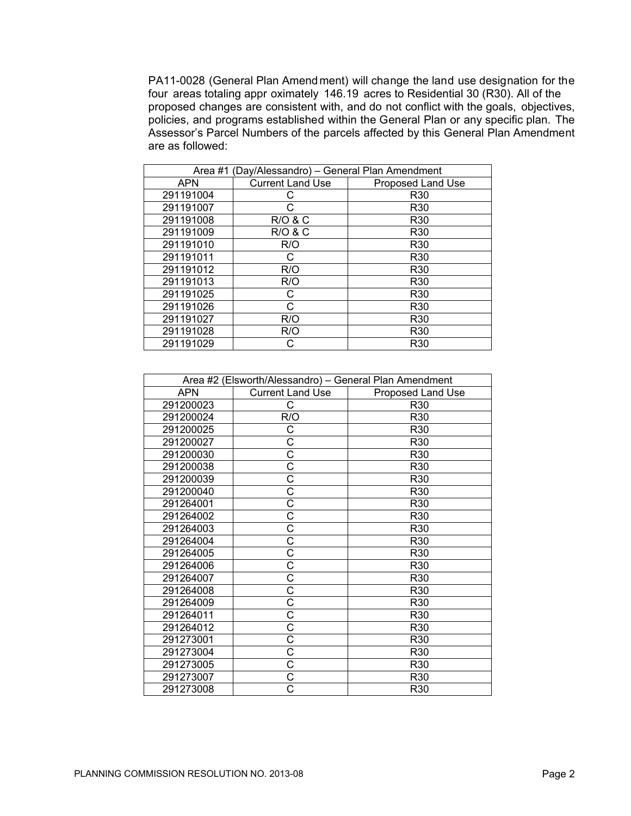PA11-0028 (General Plan Amendment) will change the land use designation for the four areas totaling appr oximately 146.19 acres to Residential 30 (R30). All of the proposed changes are consistent with, and do not conflict with the goals, objectives, policies, and programs established within the General Plan or any specific plan. The Assessor's Parcel Numbers of the parcels affected by this General Plan Amendment are as followed:

| Area #1 (Day/Alessandro) - General Plan Amendment |                         |                   |
|---------------------------------------------------|-------------------------|-------------------|
| <b>APN</b>                                        | <b>Current Land Use</b> | Proposed Land Use |
| 291191004                                         |                         | R <sub>30</sub>   |
| 291191007                                         |                         | R <sub>30</sub>   |
| 291191008                                         | R/O & C                 | R30               |
| 291191009                                         | <b>R/O &amp; C</b>      | R <sub>30</sub>   |
| 291191010                                         | R/O                     | R <sub>30</sub>   |
| 291191011                                         | C                       | R <sub>30</sub>   |
| 291191012                                         | R/O                     | R <sub>30</sub>   |
| 291191013                                         | R/O                     | R <sub>30</sub>   |
| 291191025                                         | C                       | R <sub>30</sub>   |
| 291191026                                         | C                       | R <sub>30</sub>   |
| 291191027                                         | R/O                     | R <sub>30</sub>   |
| 291191028                                         | R/O                     | R <sub>30</sub>   |
| 291191029                                         |                         | R <sub>30</sub>   |

| Area #2 (Elsworth/Alessandro) - General Plan Amendment |                         |                   |
|--------------------------------------------------------|-------------------------|-------------------|
| <b>APN</b>                                             | <b>Current Land Use</b> | Proposed Land Use |
| 291200023                                              | С                       | R <sub>30</sub>   |
| 291200024                                              | R/O                     | R <sub>30</sub>   |
| 291200025                                              | С                       | R30               |
| 291200027                                              | Ć                       | R30               |
| 291200030                                              | C                       | R30               |
| 291200038                                              | Ć                       | R <sub>30</sub>   |
| 291200039                                              | Ć                       | R30               |
| 291200040                                              | Ć                       | R <sub>30</sub>   |
| 291264001                                              | Ć                       | R <sub>30</sub>   |
| 291264002                                              | Ċ                       | R <sub>30</sub>   |
| 291264003                                              | Ć                       | R <sub>30</sub>   |
| 291264004                                              | Ć                       | R <sub>30</sub>   |
| 291264005                                              | Ć                       | R30               |
| 291264006                                              | Ć                       | R30               |
| 291264007                                              | Ć                       | R30               |
| 291264008                                              | Ć                       | R30               |
| 291264009                                              | Ć                       | R30               |
| 291264011                                              | С                       | R30               |
| 291264012                                              | Ć                       | R30               |
| 291273001                                              | Ć                       | R30               |
| 291273004                                              | Ć                       | R30               |
| 291273005                                              | Ć                       | R30               |
| 291273007                                              | Ć                       | R30               |
| 291273008                                              |                         | R30               |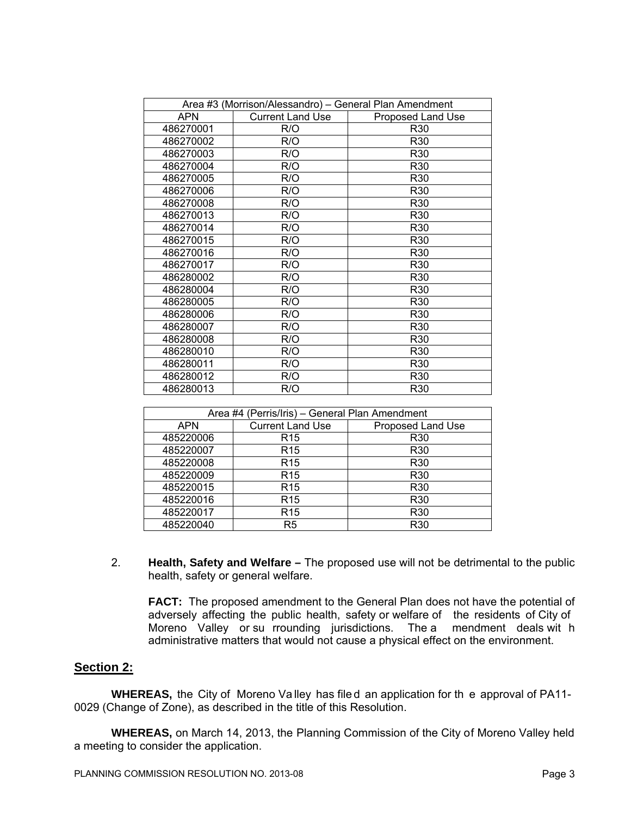| Area #3 (Morrison/Alessandro) - General Plan Amendment |                         |                   |
|--------------------------------------------------------|-------------------------|-------------------|
| <b>APN</b>                                             | <b>Current Land Use</b> | Proposed Land Use |
| 486270001                                              | R/O                     | R <sub>30</sub>   |
| 486270002                                              | R/O                     | R <sub>30</sub>   |
| 486270003                                              | R/O                     | R <sub>30</sub>   |
| 486270004                                              | R/O                     | R30               |
| 486270005                                              | R/O                     | R <sub>30</sub>   |
| 486270006                                              | R/O                     | R <sub>30</sub>   |
| 486270008                                              | R/O                     | R <sub>30</sub>   |
| 486270013                                              | R/O                     | R <sub>30</sub>   |
| 486270014                                              | R/O                     | R <sub>30</sub>   |
| 486270015                                              | R/O                     | R <sub>30</sub>   |
| 486270016                                              | R/O                     | R <sub>30</sub>   |
| 486270017                                              | R/O                     | R30               |
| 486280002                                              | R/O                     | R <sub>30</sub>   |
| 486280004                                              | R/O                     | R30               |
| 486280005                                              | R/O                     | R <sub>30</sub>   |
| 486280006                                              | R/O                     | R <sub>30</sub>   |
| 486280007                                              | R/O                     | R30               |
| 486280008                                              | R/O                     | R <sub>30</sub>   |
| 486280010                                              | R/O                     | R <sub>30</sub>   |
| 486280011                                              | R/O                     | R <sub>30</sub>   |
| 486280012                                              | R/O                     | R <sub>30</sub>   |
| 486280013                                              | R/O                     | R30               |

| Area #4 (Perris/Iris) - General Plan Amendment |                         |                   |
|------------------------------------------------|-------------------------|-------------------|
| <b>APN</b>                                     | <b>Current Land Use</b> | Proposed Land Use |
| 485220006                                      | R <sub>15</sub>         | R <sub>30</sub>   |
| 485220007                                      | R <sub>15</sub>         | R <sub>30</sub>   |
| 485220008                                      | R <sub>15</sub>         | R <sub>30</sub>   |
| 485220009                                      | R <sub>15</sub>         | R <sub>30</sub>   |
| 485220015                                      | R <sub>15</sub>         | R <sub>30</sub>   |
| 485220016                                      | R <sub>15</sub>         | R <sub>30</sub>   |
| 485220017                                      | R <sub>15</sub>         | R <sub>30</sub>   |
| 485220040                                      | R5                      | R <sub>30</sub>   |

2. **Health, Safety and Welfare –** The proposed use will not be detrimental to the public health, safety or general welfare.

**FACT:** The proposed amendment to the General Plan does not have the potential of adversely affecting the public health, safety or welfare of the residents of City of Moreno Valley or su rrounding jurisdictions. The a mendment deals wit h administrative matters that would not cause a physical effect on the environment.

#### **Section 2:**

**WHEREAS,** the City of Moreno Va lley has file d an application for th e approval of PA11- 0029 (Change of Zone), as described in the title of this Resolution.

**WHEREAS,** on March 14, 2013, the Planning Commission of the City of Moreno Valley held a meeting to consider the application.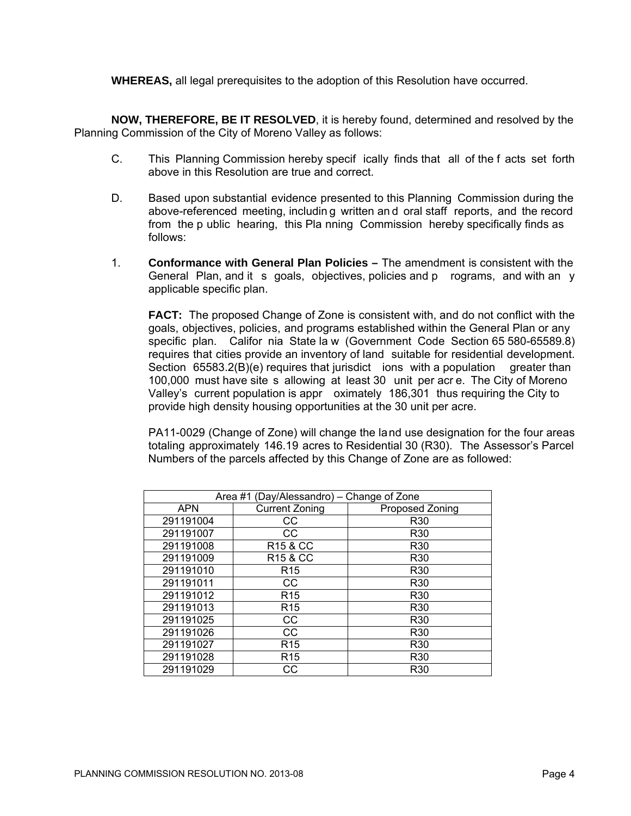**WHEREAS,** all legal prerequisites to the adoption of this Resolution have occurred.

**NOW, THEREFORE, BE IT RESOLVED**, it is hereby found, determined and resolved by the Planning Commission of the City of Moreno Valley as follows:

- C. This Planning Commission hereby specif ically finds that all of the f acts set forth above in this Resolution are true and correct.
- D. Based upon substantial evidence presented to this Planning Commission during the above-referenced meeting, includin g written an d oral staff reports, and the record from the p ublic hearing, this Pla nning Commission hereby specifically finds as follows:
- 1. **Conformance with General Plan Policies** The amendment is consistent with the General Plan, and it s goals, objectives, policies and p rograms, and with an y applicable specific plan.

**FACT:** The proposed Change of Zone is consistent with, and do not conflict with the goals, objectives, policies, and programs established within the General Plan or any specific plan. Califor nia State la w (Government Code Section 65 580-65589.8) requires that cities provide an inventory of land suitable for residential development. Section 65583.2(B)(e) requires that jurisdict ions with a population greater than 100,000 must have site s allowing at least 30 unit per acr e. The City of Moreno Valley's current population is appr oximately 186,301 thus requiring the City to provide high density housing opportunities at the 30 unit per acre.

PA11-0029 (Change of Zone) will change the land use designation for the four areas totaling approximately 146.19 acres to Residential 30 (R30). The Assessor's Parcel Numbers of the parcels affected by this Change of Zone are as followed:

| Area #1 (Day/Alessandro) - Change of Zone |                       |                 |
|-------------------------------------------|-----------------------|-----------------|
| <b>APN</b>                                | <b>Current Zoning</b> | Proposed Zoning |
| 291191004                                 | CС                    | R <sub>30</sub> |
| 291191007                                 | CC                    | R <sub>30</sub> |
| 291191008                                 | <b>R15 &amp; CC</b>   | R <sub>30</sub> |
| 291191009                                 | R <sub>15</sub> & CC  | R <sub>30</sub> |
| 291191010                                 | R <sub>15</sub>       | R30             |
| 291191011                                 | CС                    | R <sub>30</sub> |
| 291191012                                 | R <sub>15</sub>       | R <sub>30</sub> |
| 291191013                                 | R <sub>15</sub>       | R <sub>30</sub> |
| 291191025                                 | CС                    | R <sub>30</sub> |
| 291191026                                 | CС                    | R <sub>30</sub> |
| 291191027                                 | R <sub>15</sub>       | R <sub>30</sub> |
| 291191028                                 | R <sub>15</sub>       | R <sub>30</sub> |
| 291191029                                 | CС                    | R <sub>30</sub> |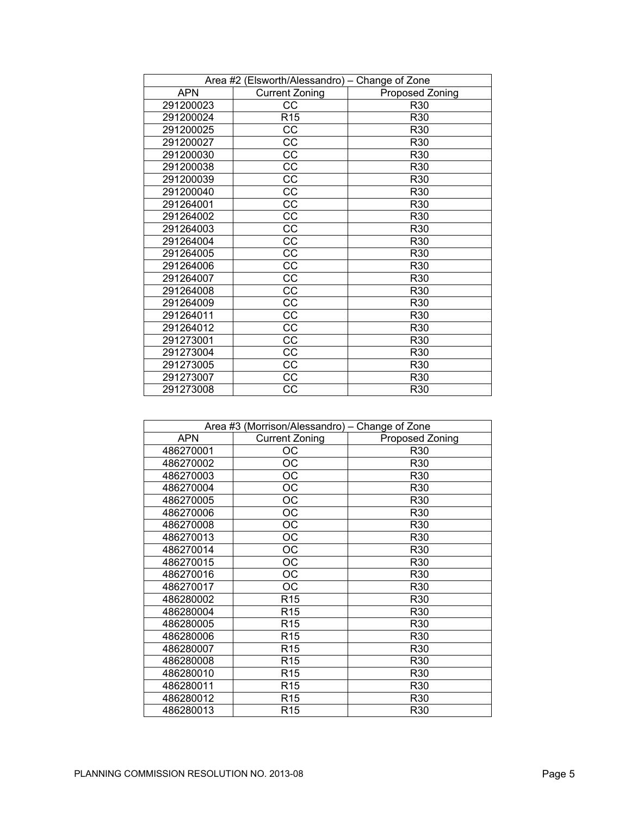| Area #2 (Elsworth/Alessandro) - Change of Zone |                        |                 |
|------------------------------------------------|------------------------|-----------------|
| <b>APN</b>                                     | <b>Current Zoning</b>  | Proposed Zoning |
| 291200023                                      | CС                     | R <sub>30</sub> |
| 291200024                                      | R15                    | R <sub>30</sub> |
| 291200025                                      | <b>CC</b>              | R30             |
| 291200027                                      | CC                     | R30             |
| 291200030                                      | CC                     | R30             |
| 291200038                                      | CC                     | R30             |
| 291200039                                      | CC                     | R <sub>30</sub> |
| 291200040                                      | СC                     | R <sub>30</sub> |
| 291264001                                      | CC                     | R <sub>30</sub> |
| 291264002                                      | CC                     | R30             |
| 291264003                                      | CC                     | R30             |
| 291264004                                      | CC                     | R30             |
| 291264005                                      | CC                     | R30             |
| 291264006                                      | $\overline{\text{cc}}$ | R30             |
| 291264007                                      | СC                     | R30             |
| 291264008                                      | CC                     | R <sub>30</sub> |
| 291264009                                      | СC                     | R <sub>30</sub> |
| 291264011                                      | $\overline{cc}$        | R30             |
| 291264012                                      | СC                     | R30             |
| 291273001                                      | CC                     | R30             |
| 291273004                                      | CC                     | R30             |
| 291273005                                      | СC                     | R30             |
| 291273007                                      | <b>CC</b>              | R30             |
| 291273008                                      | CС                     | R30             |

| Area #3 (Morrison/Alessandro) - Change of Zone |                       |                 |
|------------------------------------------------|-----------------------|-----------------|
| <b>APN</b>                                     | <b>Current Zoning</b> | Proposed Zoning |
| 486270001                                      | OС                    | R30             |
| 486270002                                      | OС                    | R <sub>30</sub> |
| 486270003                                      | ОC                    | R <sub>30</sub> |
| 486270004                                      | ОC                    | R30             |
| 486270005                                      | ОC                    | R <sub>30</sub> |
| 486270006                                      | ОC                    | R <sub>30</sub> |
| 486270008                                      | ОC                    | R30             |
| 486270013                                      | ОC                    | R30             |
| 486270014                                      | ОC                    | R <sub>30</sub> |
| 486270015                                      | OC                    | R30             |
| 486270016                                      | ОC                    | R30             |
| 486270017                                      | <b>OC</b>             | R30             |
| 486280002                                      | R <sub>15</sub>       | R <sub>30</sub> |
| 486280004                                      | R <sub>15</sub>       | R <sub>30</sub> |
| 486280005                                      | R <sub>15</sub>       | R <sub>30</sub> |
| 486280006                                      | R <sub>15</sub>       | R <sub>30</sub> |
| 486280007                                      | R <sub>15</sub>       | R <sub>30</sub> |
| 486280008                                      | R <sub>15</sub>       | R <sub>30</sub> |
| 486280010                                      | R <sub>15</sub>       | R <sub>30</sub> |
| 486280011                                      | R <sub>15</sub>       | R30             |
| 486280012                                      | R <sub>15</sub>       | R <sub>30</sub> |
| 486280013                                      | R <sub>15</sub>       | R30             |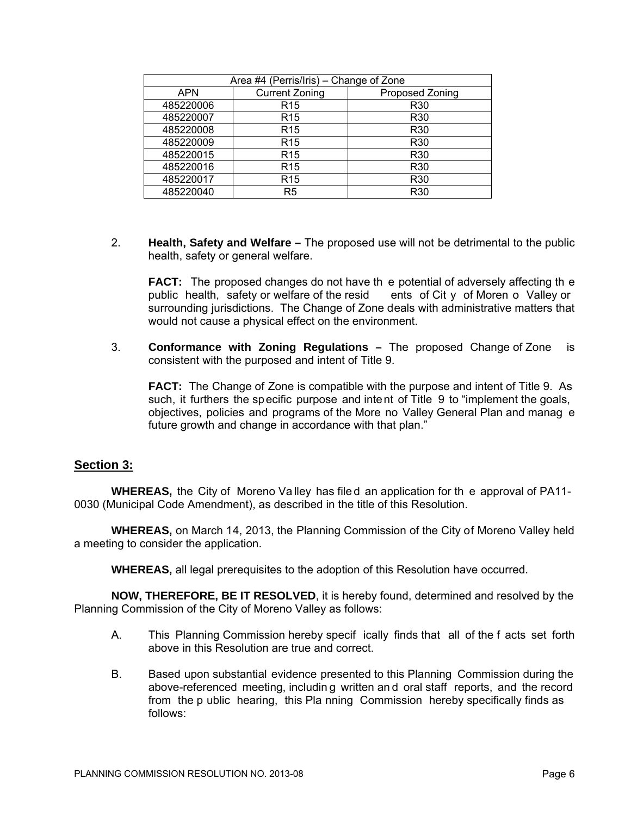| Area #4 (Perris/Iris) – Change of Zone |                       |                 |
|----------------------------------------|-----------------------|-----------------|
| <b>APN</b>                             | <b>Current Zoning</b> | Proposed Zoning |
| 485220006                              | R <sub>15</sub>       | R <sub>30</sub> |
| 485220007                              | R <sub>15</sub>       | R <sub>30</sub> |
| 485220008                              | R <sub>15</sub>       | R <sub>30</sub> |
| 485220009                              | R <sub>15</sub>       | R <sub>30</sub> |
| 485220015                              | R <sub>15</sub>       | R <sub>30</sub> |
| 485220016                              | R <sub>15</sub>       | R <sub>30</sub> |
| 485220017                              | R <sub>15</sub>       | R <sub>30</sub> |
| 485220040                              | R <sub>5</sub>        | R <sub>30</sub> |

2. **Health, Safety and Welfare –** The proposed use will not be detrimental to the public health, safety or general welfare.

**FACT:** The proposed changes do not have th e potential of adversely affecting th e public health, safety or welfare of the resid ents of City of Moren o Valley or public health, safety or welfare of the resid surrounding jurisdictions. The Change of Zone deals with administrative matters that would not cause a physical effect on the environment.

3. **Conformance with Zoning Regulations –** The proposed Change of Zone is consistent with the purposed and intent of Title 9.

**FACT:** The Change of Zone is compatible with the purpose and intent of Title 9. As such, it furthers the specific purpose and intent of Title 9 to "implement the goals, objectives, policies and programs of the More no Valley General Plan and manag e future growth and change in accordance with that plan."

# **Section 3:**

**WHEREAS,** the City of Moreno Va lley has file d an application for th e approval of PA11- 0030 (Municipal Code Amendment), as described in the title of this Resolution.

**WHEREAS,** on March 14, 2013, the Planning Commission of the City of Moreno Valley held a meeting to consider the application.

**WHEREAS,** all legal prerequisites to the adoption of this Resolution have occurred.

**NOW, THEREFORE, BE IT RESOLVED**, it is hereby found, determined and resolved by the Planning Commission of the City of Moreno Valley as follows:

- A. This Planning Commission hereby specif ically finds that all of the f acts set forth above in this Resolution are true and correct.
- B. Based upon substantial evidence presented to this Planning Commission during the above-referenced meeting, includin g written an d oral staff reports, and the record from the p ublic hearing, this Pla nning Commission hereby specifically finds as follows: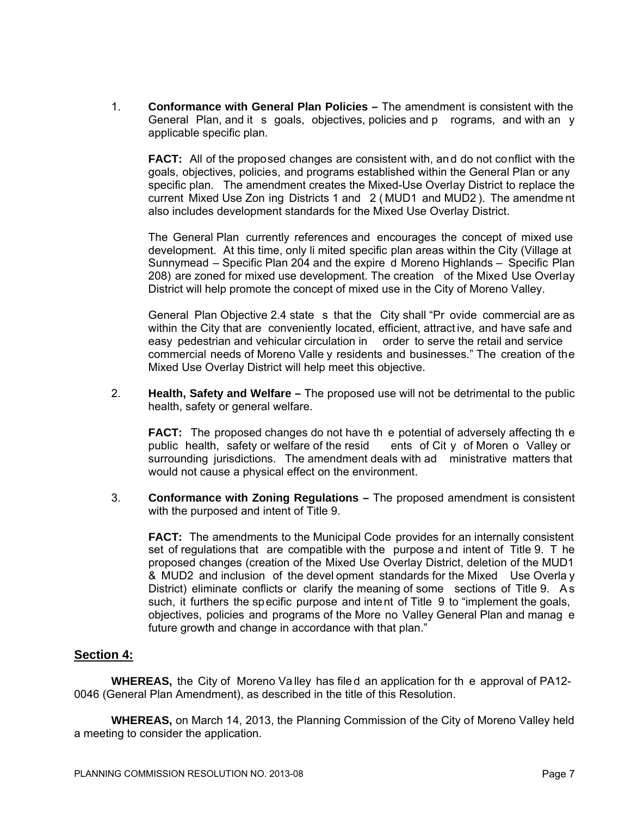1. **Conformance with General Plan Policies –** The amendment is consistent with the General Plan, and it s goals, objectives, policies and p rograms, and with an y applicable specific plan.

**FACT:** All of the proposed changes are consistent with, an d do not conflict with the goals, objectives, policies, and programs established within the General Plan or any specific plan. The amendment creates the Mixed-Use Overlay District to replace the current Mixed Use Zon ing Districts 1 and 2 ( MUD1 and MUD2 ). The amendme nt also includes development standards for the Mixed Use Overlay District.

The General Plan currently references and encourages the concept of mixed use development. At this time, only li mited specific plan areas within the City (Village at Sunnymead – Specific Plan 204 and the expire d Moreno Highlands – Specific Plan 208) are zoned for mixed use development. The creation of the Mixed Use Overlay District will help promote the concept of mixed use in the City of Moreno Valley.

General Plan Objective 2.4 state s that the City shall "Pr ovide commercial are as within the City that are conveniently located, efficient, attract ive, and have safe and easy pedestrian and vehicular circulation in order to serve the retail and service commercial needs of Moreno Valle y residents and businesses." The creation of the Mixed Use Overlay District will help meet this objective.

2. **Health, Safety and Welfare –** The proposed use will not be detrimental to the public health, safety or general welfare.

**FACT:** The proposed changes do not have th e potential of adversely affecting th e public health, safety or welfare of the resid ents of Cit y of Moren o Valley or surrounding jurisdictions. The amendment deals with ad ministrative matters that would not cause a physical effect on the environment.

3. **Conformance with Zoning Regulations –** The proposed amendment is consistent with the purposed and intent of Title 9.

**FACT:** The amendments to the Municipal Code provides for an internally consistent set of regulations that are compatible with the purpose a nd intent of Title 9. T he proposed changes (creation of the Mixed Use Overlay District, deletion of the MUD1 & MUD2 and inclusion of the devel opment standards for the Mixed Use Overla y District) eliminate conflicts or clarify the meaning of some sections of Title 9. As such, it furthers the specific purpose and intent of Title 9 to "implement the goals, objectives, policies and programs of the More no Valley General Plan and manag e future growth and change in accordance with that plan."

#### **Section 4:**

**WHEREAS,** the City of Moreno Va lley has file d an application for th e approval of PA12- 0046 (General Plan Amendment), as described in the title of this Resolution.

**WHEREAS,** on March 14, 2013, the Planning Commission of the City of Moreno Valley held a meeting to consider the application.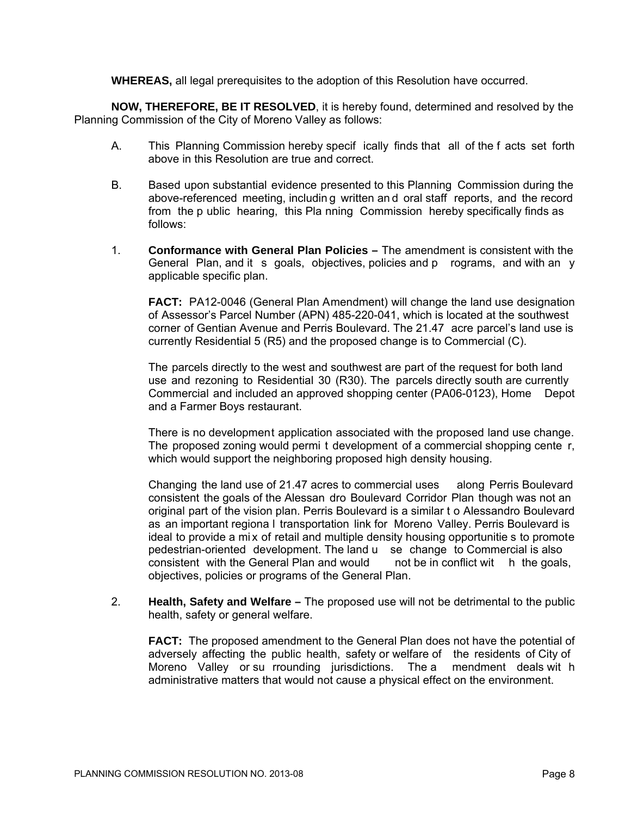**WHEREAS,** all legal prerequisites to the adoption of this Resolution have occurred.

**NOW, THEREFORE, BE IT RESOLVED**, it is hereby found, determined and resolved by the Planning Commission of the City of Moreno Valley as follows:

- A. This Planning Commission hereby specif ically finds that all of the f acts set forth above in this Resolution are true and correct.
- B. Based upon substantial evidence presented to this Planning Commission during the above-referenced meeting, includin g written an d oral staff reports, and the record from the p ublic hearing, this Pla nning Commission hereby specifically finds as follows:
- 1. **Conformance with General Plan Policies** The amendment is consistent with the General Plan, and it s goals, objectives, policies and p rograms, and with an y applicable specific plan.

**FACT:** PA12-0046 (General Plan Amendment) will change the land use designation of Assessor's Parcel Number (APN) 485-220-041, which is located at the southwest corner of Gentian Avenue and Perris Boulevard. The 21.47 acre parcel's land use is currently Residential 5 (R5) and the proposed change is to Commercial (C).

The parcels directly to the west and southwest are part of the request for both land use and rezoning to Residential 30 (R30). The parcels directly south are currently Commercial and included an approved shopping center (PA06-0123), Home Depot and a Farmer Boys restaurant.

There is no development application associated with the proposed land use change. The proposed zoning would permi t development of a commercial shopping cente r, which would support the neighboring proposed high density housing.

Changing the land use of 21.47 acres to commercial uses along Perris Boulevard consistent the goals of the Alessan dro Boulevard Corridor Plan though was not an original part of the vision plan. Perris Boulevard is a similar t o Alessandro Boulevard as an important regiona l transportation link for Moreno Valley. Perris Boulevard is ideal to provide a mix of retail and multiple density housing opportunitie s to promote pedestrian-oriented development. The land u se change to Commercial is also consistent with the General Plan and would not be in conflict wit h the goals, objectives, policies or programs of the General Plan.

2. **Health, Safety and Welfare –** The proposed use will not be detrimental to the public health, safety or general welfare.

**FACT:** The proposed amendment to the General Plan does not have the potential of adversely affecting the public health, safety or welfare of the residents of City of Moreno Valley or su rrounding jurisdictions. The a mendment deals wit h administrative matters that would not cause a physical effect on the environment.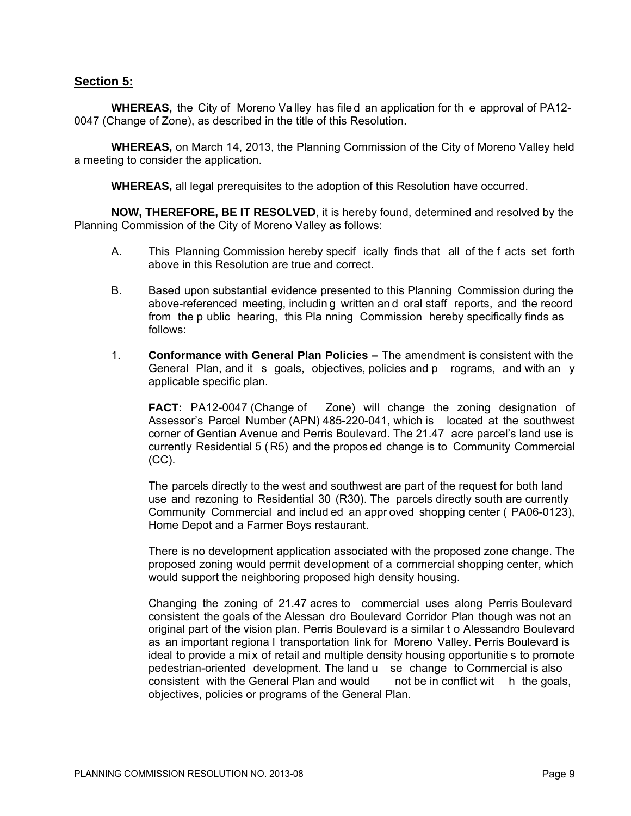### **Section 5:**

**WHEREAS,** the City of Moreno Va lley has file d an application for th e approval of PA12- 0047 (Change of Zone), as described in the title of this Resolution.

**WHEREAS,** on March 14, 2013, the Planning Commission of the City of Moreno Valley held a meeting to consider the application.

**WHEREAS,** all legal prerequisites to the adoption of this Resolution have occurred.

**NOW, THEREFORE, BE IT RESOLVED**, it is hereby found, determined and resolved by the Planning Commission of the City of Moreno Valley as follows:

- A. This Planning Commission hereby specif ically finds that all of the f acts set forth above in this Resolution are true and correct.
- B. Based upon substantial evidence presented to this Planning Commission during the above-referenced meeting, includin g written an d oral staff reports, and the record from the p ublic hearing, this Pla nning Commission hereby specifically finds as follows:
- 1. **Conformance with General Plan Policies** The amendment is consistent with the General Plan, and it s goals, objectives, policies and p rograms, and with an y applicable specific plan.

**FACT:** PA12-0047 (Change of Zone) will change the zoning designation of Assessor's Parcel Number (APN) 485-220-041, which is located at the southwest corner of Gentian Avenue and Perris Boulevard. The 21.47 acre parcel's land use is currently Residential 5 ( R5) and the propos ed change is to Community Commercial (CC).

The parcels directly to the west and southwest are part of the request for both land use and rezoning to Residential 30 (R30). The parcels directly south are currently Community Commercial and includ ed an appr oved shopping center ( PA06-0123), Home Depot and a Farmer Boys restaurant.

There is no development application associated with the proposed zone change. The proposed zoning would permit development of a commercial shopping center, which would support the neighboring proposed high density housing.

Changing the zoning of 21.47 acres to commercial uses along Perris Boulevard consistent the goals of the Alessan dro Boulevard Corridor Plan though was not an original part of the vision plan. Perris Boulevard is a similar t o Alessandro Boulevard as an important regiona l transportation link for Moreno Valley. Perris Boulevard is ideal to provide a mix of retail and multiple density housing opportunitie s to promote pedestrian-oriented development. The land u se change to Commercial is also consistent with the General Plan and would not be in conflict wit h the goals, objectives, policies or programs of the General Plan.